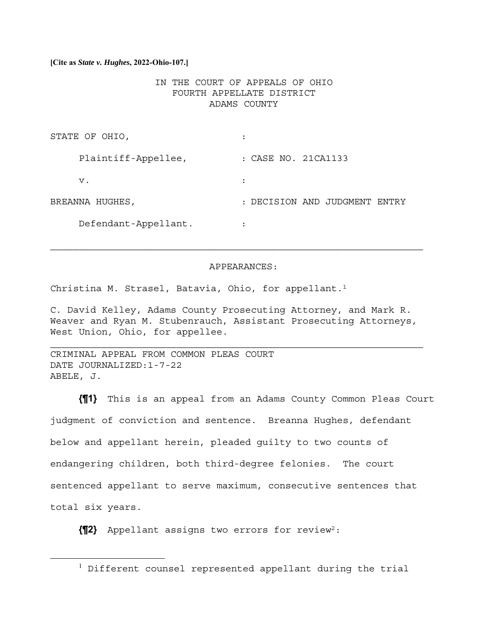### **[Cite as** *State v. Hughes***, 2022-Ohio-107.]**

# IN THE COURT OF APPEALS OF OHIO FOURTH APPELLATE DISTRICT ADAMS COUNTY

| STATE OF OHIO,       |                               |
|----------------------|-------------------------------|
| Plaintiff-Appellee,  | : CASE NO. 21CA1133           |
| v.                   |                               |
| BREANNA HUGHES,      | : DECISION AND JUDGMENT ENTRY |
| Defendant-Appellant. | ٠                             |

#### APPEARANCES:

Christina M. Strasel, Batavia, Ohio, for appellant.<sup>1</sup>

C. David Kelley, Adams County Prosecuting Attorney, and Mark R. Weaver and Ryan M. Stubenrauch, Assistant Prosecuting Attorneys, West Union, Ohio, for appellee.

 $\mathcal{L}_\text{max} = \mathcal{L}_\text{max} = \mathcal{L}_\text{max} = \mathcal{L}_\text{max} = \mathcal{L}_\text{max} = \mathcal{L}_\text{max} = \mathcal{L}_\text{max} = \mathcal{L}_\text{max} = \mathcal{L}_\text{max} = \mathcal{L}_\text{max} = \mathcal{L}_\text{max} = \mathcal{L}_\text{max} = \mathcal{L}_\text{max} = \mathcal{L}_\text{max} = \mathcal{L}_\text{max} = \mathcal{L}_\text{max} = \mathcal{L}_\text{max} = \mathcal{L}_\text{max} = \mathcal{$ 

CRIMINAL APPEAL FROM COMMON PLEAS COURT DATE JOURNALIZED:1-7-22 ABELE, J.

**{¶1}** This is an appeal from an Adams County Common Pleas Court judgment of conviction and sentence. Breanna Hughes, defendant below and appellant herein, pleaded guilty to two counts of endangering children, both third-degree felonies. The court sentenced appellant to serve maximum, consecutive sentences that total six years.

**{¶2}** Appellant assigns two errors for review2:

<sup>&</sup>lt;sup>1</sup> Different counsel represented appellant during the trial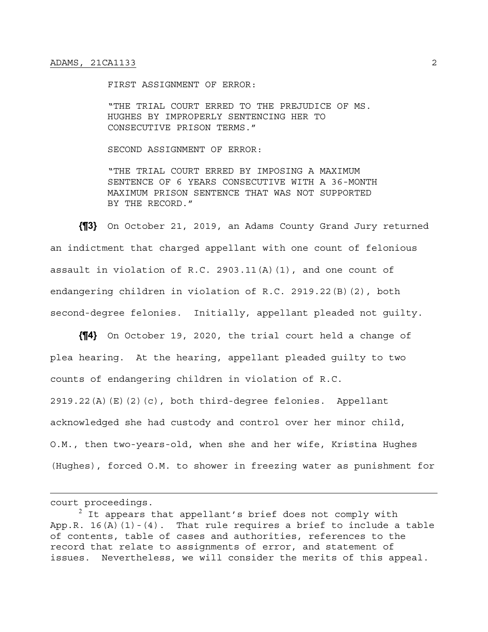FIRST ASSIGNMENT OF ERROR:

"THE TRIAL COURT ERRED TO THE PREJUDICE OF MS. HUGHES BY IMPROPERLY SENTENCING HER TO CONSECUTIVE PRISON TERMS."

SECOND ASSIGNMENT OF ERROR:

"THE TRIAL COURT ERRED BY IMPOSING A MAXIMUM SENTENCE OF 6 YEARS CONSECUTIVE WITH A 36-MONTH MAXIMUM PRISON SENTENCE THAT WAS NOT SUPPORTED BY THE RECORD."

**{¶3}** On October 21, 2019, an Adams County Grand Jury returned an indictment that charged appellant with one count of felonious assault in violation of R.C. 2903.11(A)(1), and one count of endangering children in violation of R.C. 2919.22(B)(2), both second-degree felonies. Initially, appellant pleaded not guilty.

**{¶4}** On October 19, 2020, the trial court held a change of plea hearing. At the hearing, appellant pleaded guilty to two counts of endangering children in violation of R.C. 2919.22(A)(E)(2)(c), both third-degree felonies. Appellant acknowledged she had custody and control over her minor child, O.M., then two-years-old, when she and her wife, Kristina Hughes (Hughes), forced O.M. to shower in freezing water as punishment for

court proceedings.

 $^2$  It appears that appellant's brief does not comply with App.R. 16(A)(1)-(4). That rule requires a brief to include a table of contents, table of cases and authorities, references to the record that relate to assignments of error, and statement of issues. Nevertheless, we will consider the merits of this appeal.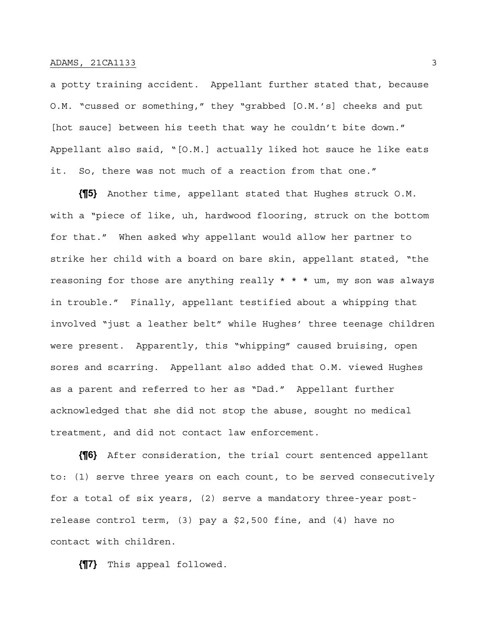a potty training accident. Appellant further stated that, because O.M. "cussed or something," they "grabbed [O.M.'s] cheeks and put [hot sauce] between his teeth that way he couldn't bite down." Appellant also said, "[O.M.] actually liked hot sauce he like eats it. So, there was not much of a reaction from that one."

**{¶5}** Another time, appellant stated that Hughes struck O.M. with a "piece of like, uh, hardwood flooring, struck on the bottom for that." When asked why appellant would allow her partner to strike her child with a board on bare skin, appellant stated, "the reasoning for those are anything really \* \* \* um, my son was always in trouble." Finally, appellant testified about a whipping that involved "just a leather belt" while Hughes' three teenage children were present. Apparently, this "whipping" caused bruising, open sores and scarring. Appellant also added that O.M. viewed Hughes as a parent and referred to her as "Dad." Appellant further acknowledged that she did not stop the abuse, sought no medical treatment, and did not contact law enforcement.

**{¶6}** After consideration, the trial court sentenced appellant to: (1) serve three years on each count, to be served consecutively for a total of six years, (2) serve a mandatory three-year postrelease control term, (3) pay a \$2,500 fine, and (4) have no contact with children.

**{¶7}** This appeal followed.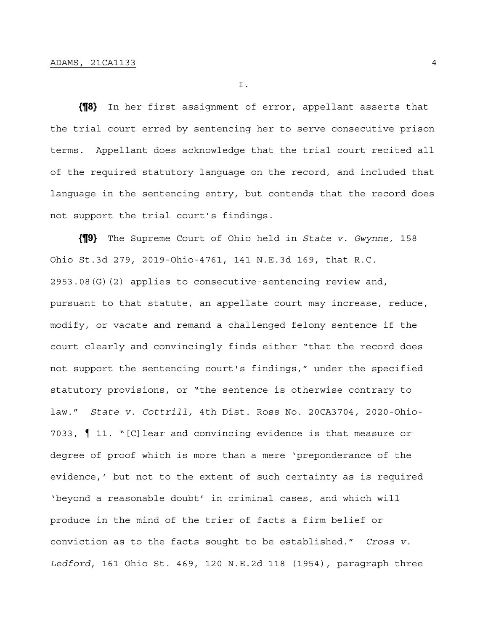I.

**{¶8}** In her first assignment of error, appellant asserts that the trial court erred by sentencing her to serve consecutive prison terms. Appellant does acknowledge that the trial court recited all of the required statutory language on the record, and included that language in the sentencing entry, but contends that the record does not support the trial court's findings.

**{¶9}** The Supreme Court of Ohio held in *State v. Gwynne*, 158 Ohio St.3d 279, 2019-Ohio-4761, 141 N.E.3d 169, that R.C. 2953.08(G)(2) applies to consecutive-sentencing review and, pursuant to that statute, an appellate court may increase, reduce, modify, or vacate and remand a challenged felony sentence if the court clearly and convincingly finds either "that the record does not support the sentencing court's findings," under the specified statutory provisions, or "the sentence is otherwise contrary to law." *State v. Cottrill,* 4th Dist. Ross No. 20CA3704*,* 2020-Ohio-7033, ¶ 11. "[C]lear and convincing evidence is that measure or degree of proof which is more than a mere 'preponderance of the evidence,' but not to the extent of such certainty as is required 'beyond a reasonable doubt' in criminal cases, and which will produce in the mind of the trier of facts a firm belief or conviction as to the facts sought to be established." *Cross v. Ledford*, 161 Ohio St. 469, 120 N.E.2d 118 (1954), paragraph three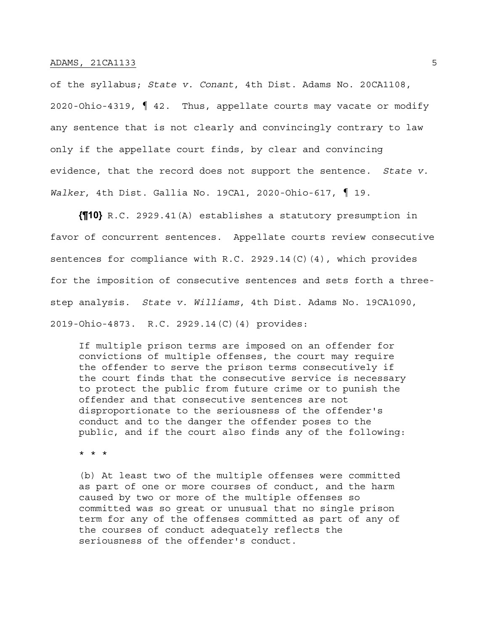of the syllabus; *State v. Conant*, 4th Dist. Adams No. 20CA1108, 2020-Ohio-4319, ¶ 42. Thus, appellate courts may vacate or modify any sentence that is not clearly and convincingly contrary to law only if the appellate court finds, by clear and convincing evidence, that the record does not support the sentence*. State v. Walker*, 4th Dist. Gallia No. 19CA1, 2020-Ohio-617, ¶ 19.

**{¶10}** R.C. 2929.41(A) establishes a statutory presumption in favor of concurrent sentences. Appellate courts review consecutive sentences for compliance with R.C. 2929.14(C)(4), which provides for the imposition of consecutive sentences and sets forth a threestep analysis. *State v. Williams*, 4th Dist. Adams No. 19CA1090, 2019-Ohio-4873. R.C. 2929.14(C)(4) provides:

If multiple prison terms are imposed on an offender for convictions of multiple offenses, the court may require the offender to serve the prison terms consecutively if the court finds that the consecutive service is necessary to protect the public from future crime or to punish the offender and that consecutive sentences are not disproportionate to the seriousness of the offender's conduct and to the danger the offender poses to the public, and if the court also finds any of the following:

\* \* \*

(b) At least two of the multiple offenses were committed as part of one or more courses of conduct, and the harm caused by two or more of the multiple offenses so committed was so great or unusual that no single prison term for any of the offenses committed as part of any of the courses of conduct adequately reflects the seriousness of the offender's conduct.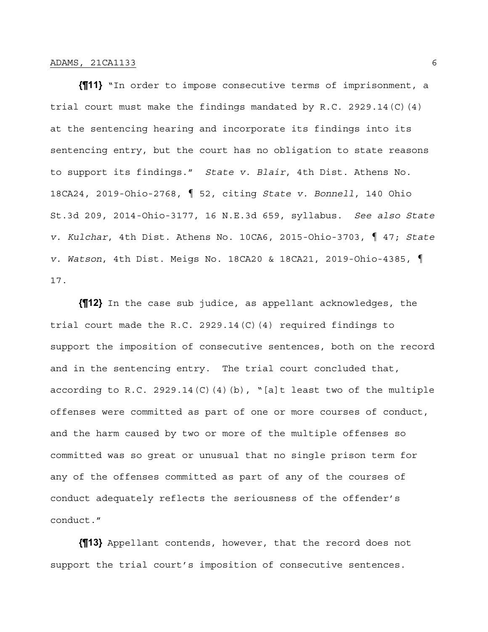**{¶11}** "In order to impose consecutive terms of imprisonment, a trial court must make the findings mandated by R.C. 2929.14(C)(4) at the sentencing hearing and incorporate its findings into its sentencing entry, but the court has no obligation to state reasons to support its findings." *State v. Blair*, 4th Dist. Athens No. 18CA24, 2019-Ohio-2768, ¶ 52, citing *State v. Bonnell*, 140 Ohio St.3d 209, 2014-Ohio-3177, 16 N.E.3d 659, syllabus. *See also State v. Kulchar*, 4th Dist. Athens No. 10CA6, 2015-Ohio-3703, ¶ 47; *State v. Watson*, 4th Dist. Meigs No. 18CA20 & 18CA21, 2019-Ohio-4385, ¶ 17.

**{¶12}** In the case sub judice, as appellant acknowledges, the trial court made the R.C. 2929.14(C)(4) required findings to support the imposition of consecutive sentences, both on the record and in the sentencing entry. The trial court concluded that, according to R.C. 2929.14(C)(4)(b), "[a]t least two of the multiple offenses were committed as part of one or more courses of conduct, and the harm caused by two or more of the multiple offenses so committed was so great or unusual that no single prison term for any of the offenses committed as part of any of the courses of conduct adequately reflects the seriousness of the offender's conduct."

**{¶13}** Appellant contends, however, that the record does not support the trial court's imposition of consecutive sentences.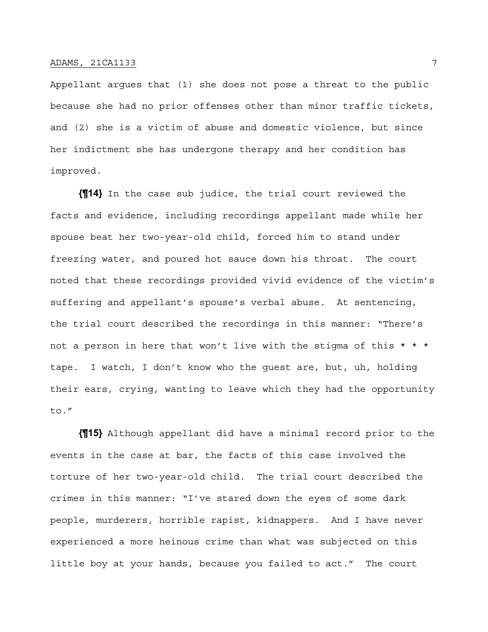Appellant argues that (1) she does not pose a threat to the public because she had no prior offenses other than minor traffic tickets, and (2) she is a victim of abuse and domestic violence, but since her indictment she has undergone therapy and her condition has improved.

**{¶14}** In the case sub judice, the trial court reviewed the facts and evidence, including recordings appellant made while her spouse beat her two-year-old child, forced him to stand under freezing water, and poured hot sauce down his throat. The court noted that these recordings provided vivid evidence of the victim's suffering and appellant's spouse's verbal abuse. At sentencing, the trial court described the recordings in this manner: "There's not a person in here that won't live with the stigma of this  $* * *$ tape. I watch, I don't know who the guest are, but, uh, holding their ears, crying, wanting to leave which they had the opportunity to."

**{¶15}** Although appellant did have a minimal record prior to the events in the case at bar, the facts of this case involved the torture of her two-year-old child. The trial court described the crimes in this manner: "I've stared down the eyes of some dark people, murderers, horrible rapist, kidnappers. And I have never experienced a more heinous crime than what was subjected on this little boy at your hands, because you failed to act." The court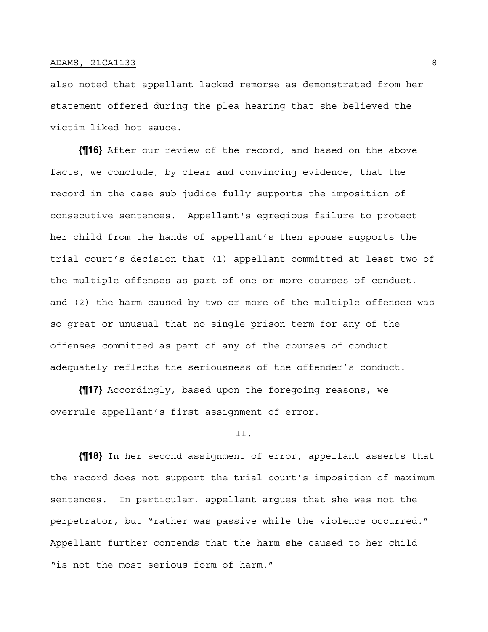also noted that appellant lacked remorse as demonstrated from her statement offered during the plea hearing that she believed the victim liked hot sauce.

**{¶16}** After our review of the record, and based on the above facts, we conclude, by clear and convincing evidence, that the record in the case sub judice fully supports the imposition of consecutive sentences. Appellant's egregious failure to protect her child from the hands of appellant's then spouse supports the trial court's decision that (1) appellant committed at least two of the multiple offenses as part of one or more courses of conduct, and (2) the harm caused by two or more of the multiple offenses was so great or unusual that no single prison term for any of the offenses committed as part of any of the courses of conduct adequately reflects the seriousness of the offender's conduct.

**{¶17}** Accordingly, based upon the foregoing reasons, we overrule appellant's first assignment of error.

#### II.

**{¶18}** In her second assignment of error, appellant asserts that the record does not support the trial court's imposition of maximum sentences. In particular, appellant argues that she was not the perpetrator, but "rather was passive while the violence occurred." Appellant further contends that the harm she caused to her child "is not the most serious form of harm."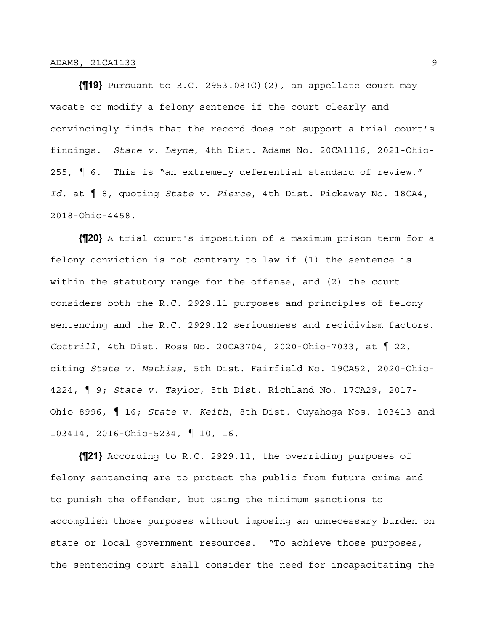**{¶19}** Pursuant to R.C. 2953.08(G)(2), an appellate court may vacate or modify a felony sentence if the court clearly and convincingly finds that the record does not support a trial court's findings. *State v. Layne*, 4th Dist. Adams No. 20CA1116, 2021-Ohio-255, ¶ 6. This is "an extremely deferential standard of review." *Id.* at ¶ 8, quoting *State v. Pierce*, 4th Dist. Pickaway No. 18CA4, 2018-Ohio-4458.

**{¶20}** A trial court's imposition of a maximum prison term for a felony conviction is not contrary to law if (1) the sentence is within the statutory range for the offense, and (2) the court considers both the R.C. 2929.11 purposes and principles of felony sentencing and the R.C. 2929.12 seriousness and recidivism factors. *Cottrill*, 4th Dist. Ross No. 20CA3704, 2020-Ohio-7033, at ¶ 22, citing *State v. Mathias*, 5th Dist. Fairfield No. 19CA52, 2020-Ohio-4224, ¶ 9; *State v. Taylor*, 5th Dist. Richland No. 17CA29, 2017- Ohio-8996, ¶ 16; *State v. Keith*, 8th Dist. Cuyahoga Nos. 103413 and 103414, 2016-Ohio-5234, ¶ 10, 16.

**{¶21}** According to R.C. 2929.11, the overriding purposes of felony sentencing are to protect the public from future crime and to punish the offender, but using the minimum sanctions to accomplish those purposes without imposing an unnecessary burden on state or local government resources. "To achieve those purposes, the sentencing court shall consider the need for incapacitating the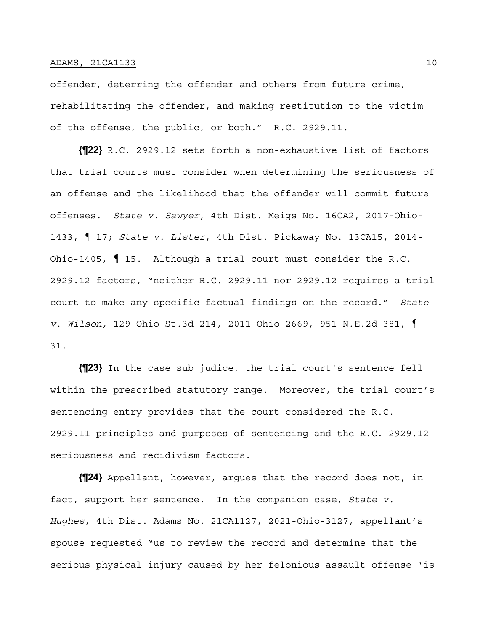offender, deterring the offender and others from future crime, rehabilitating the offender, and making restitution to the victim of the offense, the public, or both." R.C. 2929.11.

**{¶22}** R.C. 2929.12 sets forth a non-exhaustive list of factors that trial courts must consider when determining the seriousness of an offense and the likelihood that the offender will commit future offenses. *State v. Sawyer*, 4th Dist. Meigs No. 16CA2, 2017-Ohio-1433, ¶ 17; *State v. Lister*, 4th Dist. Pickaway No. 13CA15, 2014- Ohio-1405, ¶ 15. Although a trial court must consider the R.C. 2929.12 factors, "neither R.C. 2929.11 nor 2929.12 requires a trial court to make any specific factual findings on the record." *State v. Wilson,* 129 Ohio St.3d 214, 2011-Ohio-2669, 951 N.E.2d 381, ¶ 31.

**{¶23}** In the case sub judice, the trial court's sentence fell within the prescribed statutory range. Moreover, the trial court's sentencing entry provides that the court considered the R.C. 2929.11 principles and purposes of sentencing and the R.C. 2929.12 seriousness and recidivism factors.

**{¶24}** Appellant, however, argues that the record does not, in fact, support her sentence. In the companion case, *State v. Hughes*, 4th Dist. Adams No. 21CA1127, 2021-Ohio-3127, appellant's spouse requested "us to review the record and determine that the serious physical injury caused by her felonious assault offense 'is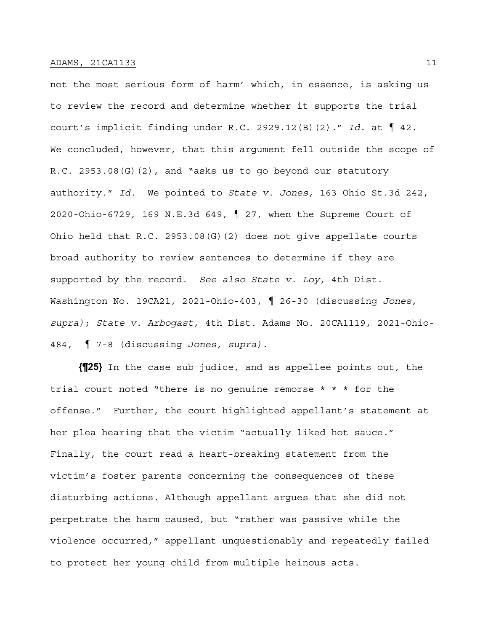not the most serious form of harm' which, in essence, is asking us to review the record and determine whether it supports the trial court's implicit finding under R.C. 2929.12(B)(2)." *Id.* at ¶ 42. We concluded, however, that this argument fell outside the scope of R.C. 2953.08(G)(2), and "asks us to go beyond our statutory authority." *Id.* We pointed to *State v. Jones,* 163 Ohio St.3d 242, 2020-Ohio-6729, 169 N.E.3d 649, ¶ 27, when the Supreme Court of Ohio held that R.C. 2953.08(G)(2) does not give appellate courts broad authority to review sentences to determine if they are supported by the record. *See also State v. Loy,* 4th Dist. Washington No. 19CA21, 2021-Ohio-403, ¶ 26-30 (discussing *Jones, supra)*; *State v. Arbogast*, 4th Dist. Adams No. 20CA1119, 2021-Ohio-484, ¶ 7-8 (discussing *Jones, supra)*.

**{¶25}** In the case sub judice, and as appellee points out, the trial court noted "there is no genuine remorse \* \* \* for the offense." Further, the court highlighted appellant's statement at her plea hearing that the victim "actually liked hot sauce." Finally, the court read a heart-breaking statement from the victim's foster parents concerning the consequences of these disturbing actions. Although appellant argues that she did not perpetrate the harm caused, but "rather was passive while the violence occurred," appellant unquestionably and repeatedly failed to protect her young child from multiple heinous acts.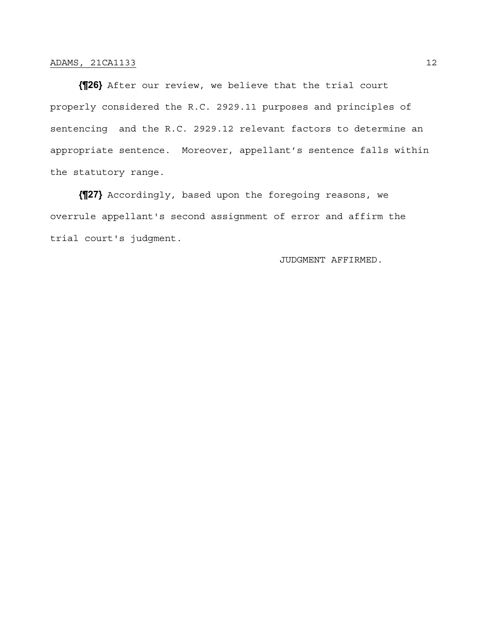**{¶26}** After our review, we believe that the trial court properly considered the R.C. 2929.11 purposes and principles of sentencing and the R.C. 2929.12 relevant factors to determine an appropriate sentence. Moreover, appellant's sentence falls within the statutory range.

**{¶27}** Accordingly, based upon the foregoing reasons, we overrule appellant's second assignment of error and affirm the trial court's judgment.

JUDGMENT AFFIRMED.